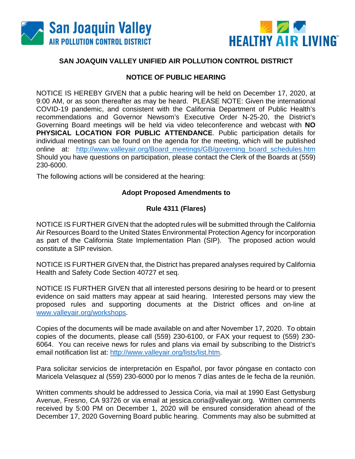



## **SAN JOAQUIN VALLEY UNIFIED AIR POLLUTION CONTROL DISTRICT**

## **NOTICE OF PUBLIC HEARING**

NOTICE IS HEREBY GIVEN that a public hearing will be held on December 17, 2020, at 9:00 AM, or as soon thereafter as may be heard. PLEASE NOTE: Given the international COVID-19 pandemic, and consistent with the California Department of Public Health's recommendations and Governor Newsom's Executive Order N-25-20, the District's Governing Board meetings will be held via video teleconference and webcast with **NO PHYSICAL LOCATION FOR PUBLIC ATTENDANCE**. Public participation details for individual meetings can be found on the agenda for the meeting, which will be published online at: [http://www.valleyair.org/Board\\_meetings/GB/governing\\_board\\_schedules.htm](http://www.valleyair.org/Board_meetings/GB/governing_board_schedules.htm) Should you have questions on participation, please contact the Clerk of the Boards at (559) 230-6000.

The following actions will be considered at the hearing:

## **Adopt Proposed Amendments to**

## **Rule 4311 (Flares)**

NOTICE IS FURTHER GIVEN that the adopted rules will be submitted through the California Air Resources Board to the United States Environmental Protection Agency for incorporation as part of the California State Implementation Plan (SIP). The proposed action would constitute a SIP revision.

NOTICE IS FURTHER GIVEN that, the District has prepared analyses required by California Health and Safety Code Section 40727 et seq.

NOTICE IS FURTHER GIVEN that all interested persons desiring to be heard or to present evidence on said matters may appear at said hearing. Interested persons may view the proposed rules and supporting documents at the District offices and on-line at [www.valleyair.org/workshops.](http://www.valleyair.org/workshops)

Copies of the documents will be made available on and after November 17, 2020. To obtain copies of the documents, please call (559) 230-6100, or FAX your request to (559) 230- 6064. You can receive news for rules and plans via email by subscribing to the District's email notification list at: [http://www.valleyair.org/lists/list.htm.](http://www.valleyair.org/lists/list.htm)

Para solicitar servicios de interpretación en Español, por favor póngase en contacto con Maricela Velasquez al (559) 230-6000 por lo menos 7 días antes de le fecha de la reunión.

Written comments should be addressed to Jessica Coria, via mail at 1990 East Gettysburg Avenue, Fresno, CA 93726 or via email at jessica.coria@valleyair.org. Written comments received by 5:00 PM on December 1, 2020 will be ensured consideration ahead of the December 17, 2020 Governing Board public hearing. Comments may also be submitted at